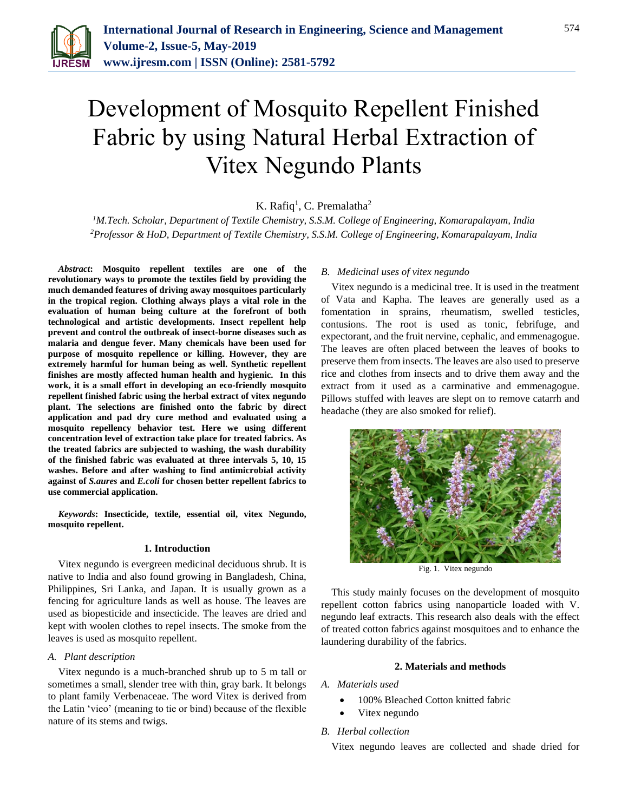

# Development of Mosquito Repellent Finished Fabric by using Natural Herbal Extraction of Vitex Negundo Plants

K. Rafiq<sup>1</sup>, C. Premalatha<sup>2</sup>

*<sup>1</sup>M.Tech. Scholar, Department of Textile Chemistry, S.S.M. College of Engineering, Komarapalayam, India 2Professor & HoD, Department of Textile Chemistry, S.S.M. College of Engineering, Komarapalayam, India*

*Abstract***: Mosquito repellent textiles are one of the revolutionary ways to promote the textiles field by providing the much demanded features of driving away mosquitoes particularly in the tropical region. Clothing always plays a vital role in the evaluation of human being culture at the forefront of both technological and artistic developments. Insect repellent help prevent and control the outbreak of insect-borne diseases such as malaria and dengue fever. Many chemicals have been used for purpose of mosquito repellence or killing. However, they are extremely harmful for human being as well. Synthetic repellent finishes are mostly affected human health and hygienic. In this work, it is a small effort in developing an eco-friendly mosquito repellent finished fabric using the herbal extract of vitex negundo plant. The selections are finished onto the fabric by direct application and pad dry cure method and evaluated using a mosquito repellency behavior test. Here we using different concentration level of extraction take place for treated fabrics. As the treated fabrics are subjected to washing, the wash durability of the finished fabric was evaluated at three intervals 5, 10, 15 washes. Before and after washing to find antimicrobial activity against of** *S.aures* **and** *E.coli* **for chosen better repellent fabrics to use commercial application.**

*Keywords***: Insecticide, textile, essential oil, vitex Negundo, mosquito repellent.**

## **1. Introduction**

Vitex negundo is evergreen medicinal deciduous shrub. It is native to India and also found growing in Bangladesh, China, Philippines, Sri Lanka, and Japan. It is usually grown as a fencing for agriculture lands as well as house. The leaves are used as biopesticide and insecticide. The leaves are dried and kept with woolen clothes to repel insects. The smoke from the leaves is used as mosquito repellent.

#### *A. Plant description*

Vitex negundo is a much-branched shrub up to 5 m tall or sometimes a small, slender tree with thin, gray bark. It belongs to plant family Verbenaceae. The word Vitex is derived from the Latin 'vieo' (meaning to tie or bind) because of the flexible nature of its stems and twigs.

### *B. Medicinal uses of vitex negundo*

Vitex negundo is a medicinal tree. It is used in the treatment of Vata and Kapha. The leaves are generally used as a fomentation in sprains, rheumatism, swelled testicles, contusions. The root is used as tonic, febrifuge, and expectorant, and the fruit nervine, cephalic, and emmenagogue. The leaves are often placed between the leaves of books to preserve them from insects. The leaves are also used to preserve rice and clothes from insects and to drive them away and the extract from it used as a carminative and emmenagogue. Pillows stuffed with leaves are slept on to remove catarrh and headache (they are also smoked for relief).



Fig. 1. Vitex negundo

This study mainly focuses on the development of mosquito repellent cotton fabrics using nanoparticle loaded with V. negundo leaf extracts. This research also deals with the effect of treated cotton fabrics against mosquitoes and to enhance the laundering durability of the fabrics.

## **2. Materials and methods**

- *A. Materials used*
	- 100% Bleached Cotton knitted fabric
	- Vitex negundo

#### *B. Herbal collection*

Vitex negundo leaves are collected and shade dried for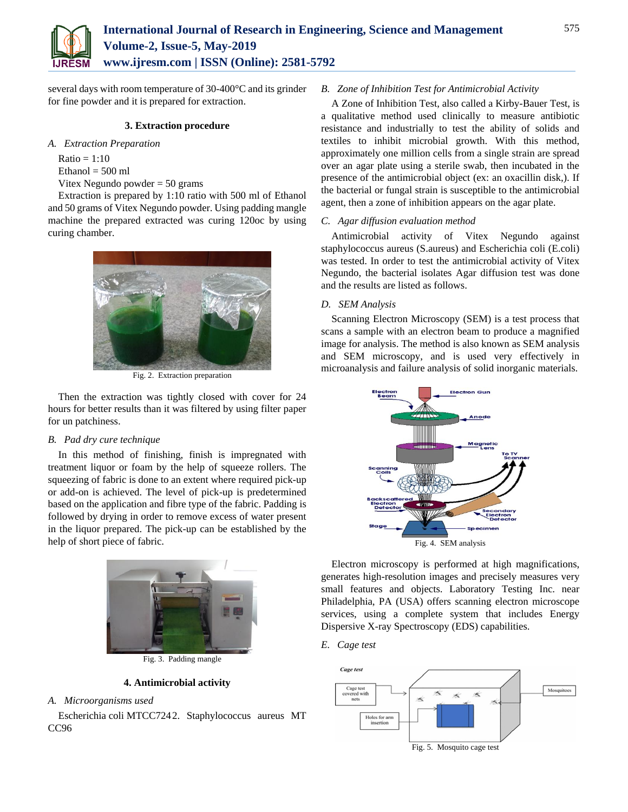

several days with room temperature of 30-400°C and its grinder for fine powder and it is prepared for extraction.

## **3. Extraction procedure**

*A. Extraction Preparation*

 $Ratio = 1:10$  $Ethanol = 500 ml$ 

Vitex Negundo powder = 50 grams

Extraction is prepared by 1:10 ratio with 500 ml of Ethanol and 50 grams of Vitex Negundo powder. Using padding mangle machine the prepared extracted was curing 120oc by using curing chamber.



Fig. 2. Extraction preparation

Then the extraction was tightly closed with cover for 24 hours for better results than it was filtered by using filter paper for un patchiness.

## *B. Pad dry cure technique*

In this method of finishing, finish is impregnated with treatment liquor or foam by the help of squeeze rollers. The squeezing of fabric is done to an extent where required pick-up or add-on is achieved. The level of pick-up is predetermined based on the application and fibre type of the fabric. Padding is followed by drying in order to remove excess of water present in the liquor prepared. The pick-up can be established by the help of short piece of fabric.



Fig. 3. Padding mangle

#### **4. Antimicrobial activity**

*A. Microorganisms used*

Escherichia coli MTCC7242. Staphylococcus aureus MT CC96

#### *B. Zone of Inhibition Test for Antimicrobial Activity*

A Zone of Inhibition Test, also called a Kirby-Bauer Test, is a qualitative method used clinically to measure antibiotic resistance and industrially to test the ability of solids and textiles to inhibit microbial growth. With this method, approximately one million cells from a single strain are spread over an agar plate using a sterile swab, then incubated in the presence of the antimicrobial object (ex: an oxacillin disk,). If the bacterial or fungal strain is susceptible to the antimicrobial agent, then a zone of inhibition appears on the agar plate.

### *C. Agar diffusion evaluation method*

Antimicrobial activity of Vitex Negundo against staphylococcus aureus (S.aureus) and Escherichia coli (E.coli) was tested. In order to test the antimicrobial activity of Vitex Negundo, the bacterial isolates Agar diffusion test was done and the results are listed as follows.

## *D. SEM Analysis*

Scanning Electron Microscopy (SEM) is a test process that scans a sample with an electron beam to produce a magnified image for analysis. The method is also known as SEM analysis and SEM microscopy, and is used very effectively in microanalysis and failure analysis of solid inorganic materials.



Electron microscopy is performed at high magnifications, generates high-resolution images and precisely measures very small features and objects. Laboratory Testing Inc. near Philadelphia, PA (USA) offers scanning electron microscope services, using a complete system that includes Energy Dispersive X-ray Spectroscopy (EDS) capabilities.

*E. Cage test* 



Fig. 5. Mosquito cage test